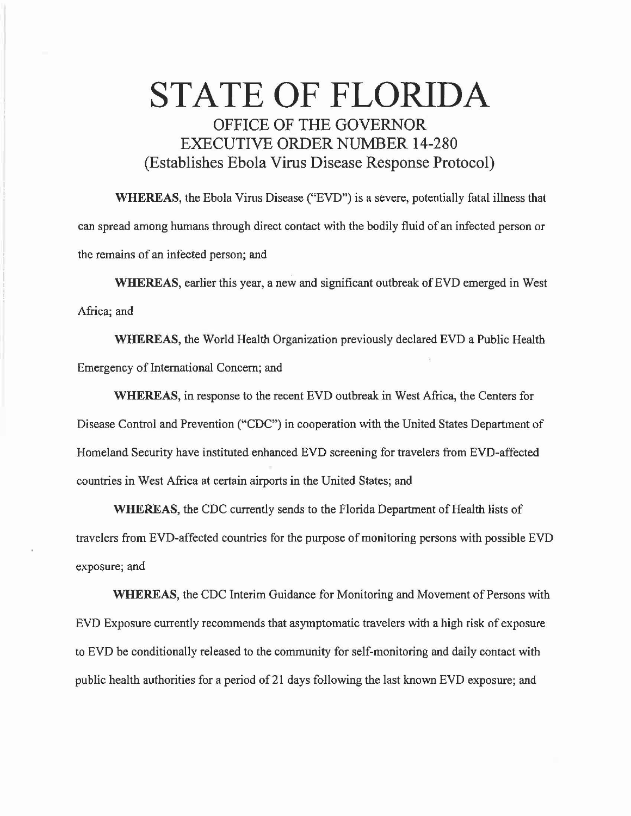## STATE OF FLORIDA OFFICE OF THE GOVERNOR EXECUTIVE ORDER NUMBER 14-280 (Establishes Ebola Virus Disease Response Protocol)

WHEREAS, the Ebola Virus Disease ("EVD") is a severe, potentially fatal illness that can spread among humans through direct contact with the bodily fluid of an infected person or the remains of an infected person; and

WHEREAS, earlier this year, a new and significant outbreak of EVD emerged in West Africa; and

WHEREAS, the World Health Organization previously declared EVD a Public Health Emergency of International Concern; and

WHEREAS, in response to the recent EVD outbreak in West Africa, the Centers for Disease Control and Prevention ("CDC") in cooperation with the United States Department of Homeland Security have instituted enhanced EVD screening for travelers from EVD-affected countries in West Africa at certain airports in the United States; and

WHEREAS, the CDC currently sends to the Florida Department of Health lists of travelers from EVD-affected countries for the purpose of monitoring persons with possible EVD exposure; and

WHEREAS, the CDC Interim Guidance for Monitoring and Movement of Persons with EVD Exposure currently recommends that asymptomatic travelers with a high risk of exposure to EVD be conditionally released to the community for self-monitoring and daily contact with public health authorities for a period of 21 days following the last known EVD exposure; and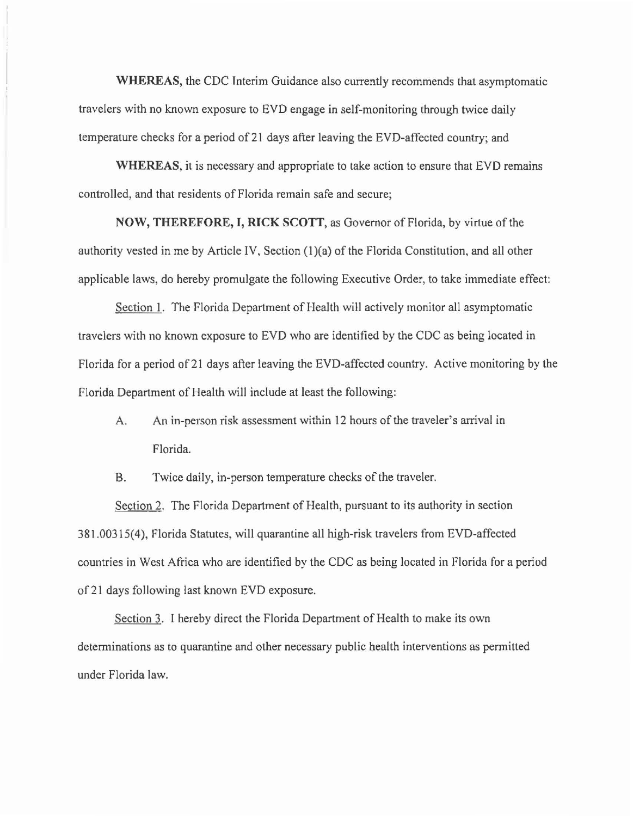**WHEREAS,** the CDC Interim Guidance also currently recommends that asymptomatic travelers with no known exposure to EVD engage in self-monitoring through twice daily temperature checks for a period of 21 days after leaving the EVD-affected country; and

**WHEREAS,** it is necessary and appropriate to take action to ensure that EVO remains controlled, and that residents of Florida remain safe and secure;

**NOW, THEREFORE, I, RICK SCOTT,** as Governor of Florida, by virtue of the authority vested in me by Article IV, Section (1)(a) of the Florida Constitution, and all other applicable laws, do hereby promulgate the following Executive Order, to take immediate effect:

Section **1.** The Florida Department of Health will actively monitor all asymptomatic travelers with no known exposure to EVO who are identified by the CDC as being located in Florida for a period of 21 days after leaving the EVD-affected country. Active monitoring by the Florida Department of Health will include at least the following:

A. An in-person risk assessment within 12 hours of the traveler's arrival in Florida.

B. Twice daily, in-person temperature checks of the traveler.

Section 2. The Florida Department of Health, pursuant to its authority in section 3 81. 00315( 4 ), Florida Statutes, will quarantine all high-risk travelers from EVD-affected countries in West Africa who are identified by the CDC as being located in Florida for a period of 21 days following last known EVD exposure.

Section 3. I hereby direct the Florida Department of Health to make its own determinations as to quarantine and other necessary public health interventions as permitted under Florida law.